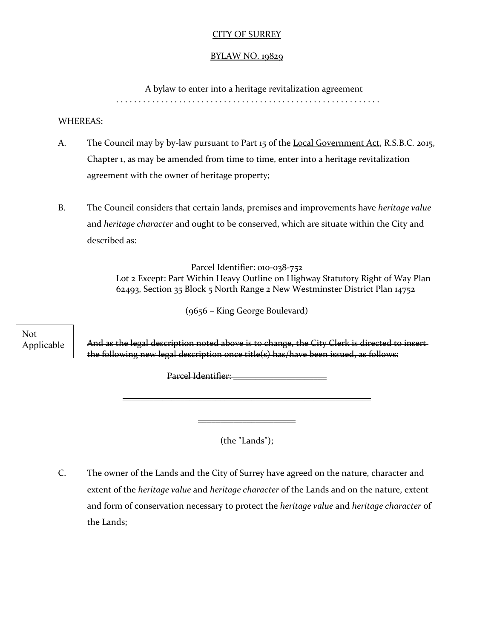## CITY OF SURREY

### BYLAW NO. 19829

A bylaw to enter into a heritage revitalization agreement

. . . . . . . . . . . . . . . . . . . . . . . . . . . . . . . . . . . . . . . . . . . . . . . . . . . . . . . . . . .

### WHEREAS:

- A. The Council may by by-law pursuant to Part 15 of the Local Government Act, R.S.B.C. 2015, Chapter 1, as may be amended from time to time, enter into a heritage revitalization agreement with the owner of heritage property;
- B. The Council considers that certain lands, premises and improvements have *heritage value* and *heritage character* and ought to be conserved, which are situate within the City and described as:

Parcel Identifier: 010-038-752 Lot 2 Except: Part Within Heavy Outline on Highway Statutory Right of Way Plan 62493, Section 35 Block 5 North Range 2 New Westminster District Plan 14752

(9656 – King George Boulevard)

Not Applicable

And as the legal description noted above is to change, the City Clerk is directed to insert the following new legal description once title(s) has/have been issued, as follows:

Parcel Identifier: \_\_\_\_\_\_\_\_\_\_\_\_\_\_\_\_\_\_\_\_\_

 $\overline{\phantom{a}}$  , and the contract of the contract of the contract of the contract of the contract of the contract of the contract of the contract of the contract of the contract of the contract of the contract of the contrac

 $\overline{\phantom{a}}$  , and the set of the set of the set of the set of the set of the set of the set of the set of the set of the set of the set of the set of the set of the set of the set of the set of the set of the set of the s

(the "Lands");

C. The owner of the Lands and the City of Surrey have agreed on the nature, character and extent of the *heritage value* and *heritage character* of the Lands and on the nature, extent and form of conservation necessary to protect the *heritage value* and *heritage character* of the Lands;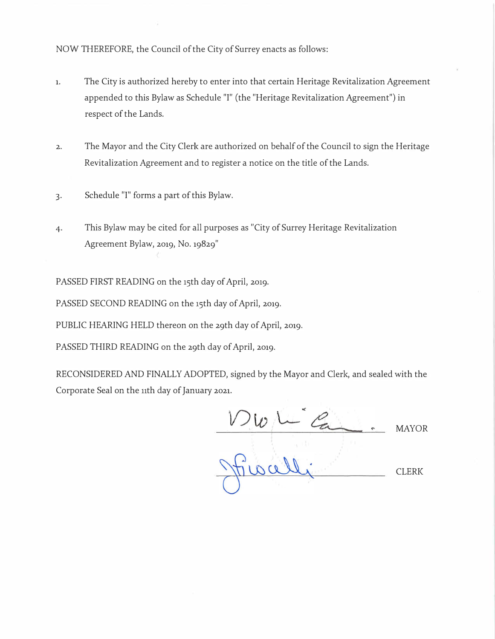NOW THEREFORE, the Council of the City of Surrey enacts as follows:

- 1. The City is authorized hereby to enter into that certain Heritage Revitalization Agreement appended to this Bylaw as Schedule "I" (the "Heritage Revitalization Agreement") in respect of the Lands.
- 2. The Mayor and the City Clerk are authorized on behalf of the Council to sign the Heritage Revitalization Agreement and to register a notice on the title of the Lands.
- 3. Schedule "I" forms a part of this Bylaw.
- 4. This Bylaw may be cited for all purposes as "City of Surrey Heritage Revitalization Agreement Bylaw, 2019, No. 19829"

PASSED FIRST READING on the 15th day of April, 2019.

PASSED SECOND READING on the 15th day of April, 2019.

PUBLIC HEARING HELD thereon on the 29th day of April, 2019.

PASSED THIRD READING on the 29th day of April, 2019.

RECONSIDERED AND FINALLY ADOPTED, signed by the Mayor and Clerk, and sealed with the Corporate Seal on the nth day of January 2021.

DWL G. MAYOR CLERK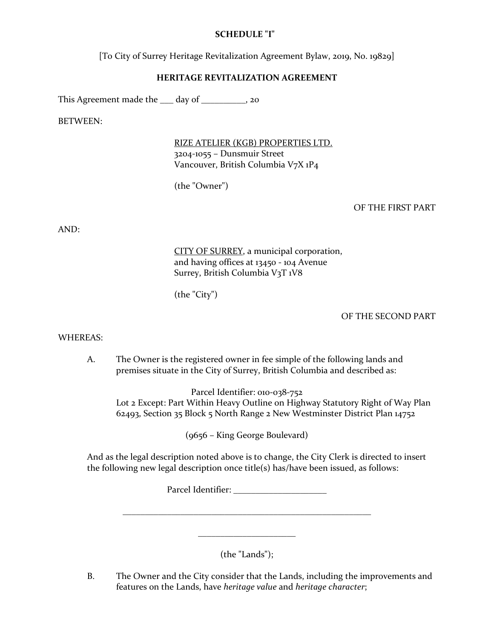## **SCHEDULE "I"**

[To City of Surrey Heritage Revitalization Agreement Bylaw, 2019, No. 19829]

## **HERITAGE REVITALIZATION AGREEMENT**

This Agreement made the  $\frac{1}{2}$  day of  $\frac{1}{2}$ , 20

BETWEEN:

RIZE ATELIER (KGB) PROPERTIES LTD. 3204-1055 – Dunsmuir Street Vancouver, British Columbia V7X 1P4

(the "Owner")

### OF THE FIRST PART

AND:

CITY OF SURREY, a municipal corporation, and having offices at 13450 - 104 Avenue Surrey, British Columbia V3T 1V8

(the "City")

### OF THE SECOND PART

#### WHEREAS:

A. The Owner is the registered owner in fee simple of the following lands and premises situate in the City of Surrey, British Columbia and described as:

Parcel Identifier: 010-038-752 Lot 2 Except: Part Within Heavy Outline on Highway Statutory Right of Way Plan 62493, Section 35 Block 5 North Range 2 New Westminster District Plan 14752

(9656 – King George Boulevard)

And as the legal description noted above is to change, the City Clerk is directed to insert the following new legal description once title(s) has/have been issued, as follows:

Parcel Identifier: \_\_\_\_\_\_\_\_\_\_\_\_\_\_\_\_\_\_\_\_\_

(the "Lands");

\_\_\_\_\_\_\_\_\_\_\_\_\_\_\_\_\_\_\_\_\_\_\_\_\_\_\_\_\_\_\_\_\_\_\_\_\_\_\_\_\_\_\_\_\_\_\_\_\_\_\_\_\_\_\_\_

\_\_\_\_\_\_\_\_\_\_\_\_\_\_\_\_\_\_\_\_\_\_

B. The Owner and the City consider that the Lands, including the improvements and features on the Lands, have *heritage value* and *heritage character*;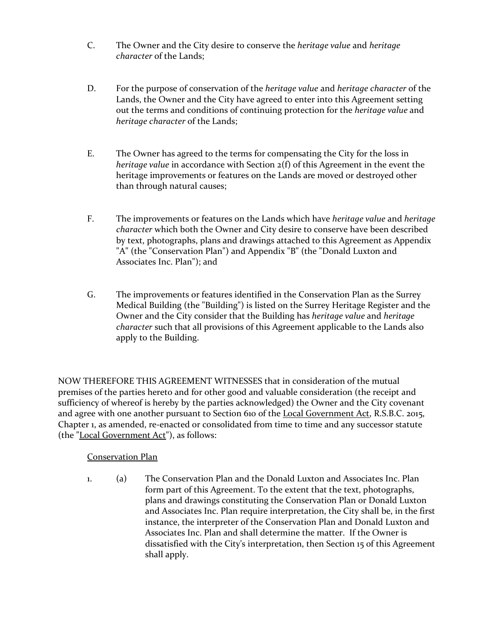- C. The Owner and the City desire to conserve the *heritage value* and *heritage character* of the Lands;
- D. For the purpose of conservation of the *heritage value* and *heritage character* of the Lands, the Owner and the City have agreed to enter into this Agreement setting out the terms and conditions of continuing protection for the *heritage value* and *heritage character* of the Lands;
- E. The Owner has agreed to the terms for compensating the City for the loss in *heritage value* in accordance with Section 2(f) of this Agreement in the event the heritage improvements or features on the Lands are moved or destroyed other than through natural causes;
- F. The improvements or features on the Lands which have *heritage value* and *heritage character* which both the Owner and City desire to conserve have been described by text, photographs, plans and drawings attached to this Agreement as Appendix "A" (the "Conservation Plan") and Appendix "B" (the "Donald Luxton and Associates Inc. Plan"); and
- G. The improvements or features identified in the Conservation Plan as the Surrey Medical Building (the "Building") is listed on the Surrey Heritage Register and the Owner and the City consider that the Building has *heritage value* and *heritage character* such that all provisions of this Agreement applicable to the Lands also apply to the Building.

NOW THEREFORE THIS AGREEMENT WITNESSES that in consideration of the mutual premises of the parties hereto and for other good and valuable consideration (the receipt and sufficiency of whereof is hereby by the parties acknowledged) the Owner and the City covenant and agree with one another pursuant to Section 610 of the Local Government Act, R.S.B.C. 2015, Chapter 1, as amended, re-enacted or consolidated from time to time and any successor statute (the "Local Government Act"), as follows:

# Conservation Plan

1. (a) The Conservation Plan and the Donald Luxton and Associates Inc. Plan form part of this Agreement. To the extent that the text, photographs, plans and drawings constituting the Conservation Plan or Donald Luxton and Associates Inc. Plan require interpretation, the City shall be, in the first instance, the interpreter of the Conservation Plan and Donald Luxton and Associates Inc. Plan and shall determine the matter. If the Owner is dissatisfied with the City's interpretation, then Section 15 of this Agreement shall apply.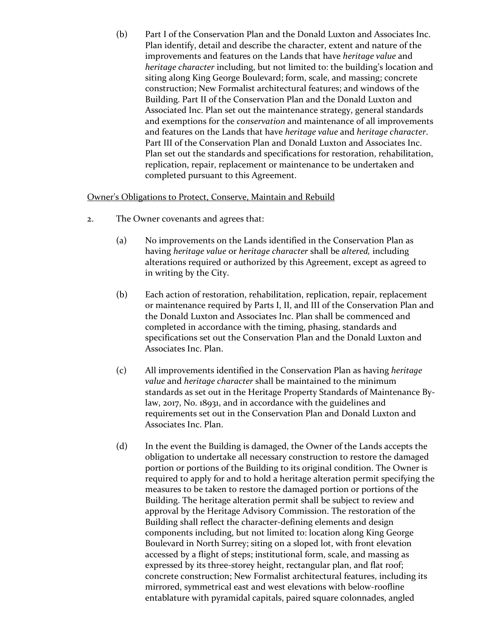(b) Part I of the Conservation Plan and the Donald Luxton and Associates Inc. Plan identify, detail and describe the character, extent and nature of the improvements and features on the Lands that have *heritage value* and *heritage character* including, but not limited to: the building's location and siting along King George Boulevard; form, scale, and massing; concrete construction; New Formalist architectural features; and windows of the Building. Part II of the Conservation Plan and the Donald Luxton and Associated Inc. Plan set out the maintenance strategy, general standards and exemptions for the *conservation* and maintenance of all improvements and features on the Lands that have *heritage value* and *heritage character*. Part III of the Conservation Plan and Donald Luxton and Associates Inc. Plan set out the standards and specifications for restoration, rehabilitation, replication, repair, replacement or maintenance to be undertaken and completed pursuant to this Agreement.

### Owner's Obligations to Protect, Conserve, Maintain and Rebuild

- 2. The Owner covenants and agrees that:
	- (a) No improvements on the Lands identified in the Conservation Plan as having *heritage value* or *heritage character* shall be *altered,* including alterations required or authorized by this Agreement, except as agreed to in writing by the City.
	- (b) Each action of restoration, rehabilitation, replication, repair, replacement or maintenance required by Parts I, II, and III of the Conservation Plan and the Donald Luxton and Associates Inc. Plan shall be commenced and completed in accordance with the timing, phasing, standards and specifications set out the Conservation Plan and the Donald Luxton and Associates Inc. Plan.
	- (c) All improvements identified in the Conservation Plan as having *heritage value* and *heritage character* shall be maintained to the minimum standards as set out in the Heritage Property Standards of Maintenance Bylaw, 2017, No. 18931, and in accordance with the guidelines and requirements set out in the Conservation Plan and Donald Luxton and Associates Inc. Plan.
	- (d) In the event the Building is damaged, the Owner of the Lands accepts the obligation to undertake all necessary construction to restore the damaged portion or portions of the Building to its original condition. The Owner is required to apply for and to hold a heritage alteration permit specifying the measures to be taken to restore the damaged portion or portions of the Building. The heritage alteration permit shall be subject to review and approval by the Heritage Advisory Commission. The restoration of the Building shall reflect the character-defining elements and design components including, but not limited to: location along King George Boulevard in North Surrey; siting on a sloped lot, with front elevation accessed by a flight of steps; institutional form, scale, and massing as expressed by its three-storey height, rectangular plan, and flat roof; concrete construction; New Formalist architectural features, including its mirrored, symmetrical east and west elevations with below-roofline entablature with pyramidal capitals, paired square colonnades, angled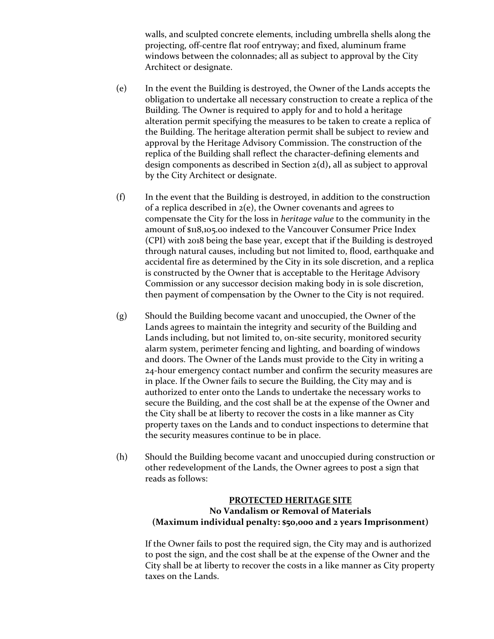walls, and sculpted concrete elements, including umbrella shells along the projecting, off-centre flat roof entryway; and fixed, aluminum frame windows between the colonnades; all as subject to approval by the City Architect or designate.

- (e) In the event the Building is destroyed, the Owner of the Lands accepts the obligation to undertake all necessary construction to create a replica of the Building. The Owner is required to apply for and to hold a heritage alteration permit specifying the measures to be taken to create a replica of the Building. The heritage alteration permit shall be subject to review and approval by the Heritage Advisory Commission. The construction of the replica of the Building shall reflect the character-defining elements and design components as described in Section 2(d)**,** all as subject to approval by the City Architect or designate.
- (f) In the event that the Building is destroyed, in addition to the construction of a replica described in  $2(e)$ , the Owner covenants and agrees to compensate the City for the loss in *heritage value* to the community in the amount of \$118,105.00 indexed to the Vancouver Consumer Price Index (CPI) with 2018 being the base year, except that if the Building is destroyed through natural causes, including but not limited to, flood, earthquake and accidental fire as determined by the City in its sole discretion, and a replica is constructed by the Owner that is acceptable to the Heritage Advisory Commission or any successor decision making body in is sole discretion, then payment of compensation by the Owner to the City is not required.
- (g) Should the Building become vacant and unoccupied, the Owner of the Lands agrees to maintain the integrity and security of the Building and Lands including, but not limited to, on-site security, monitored security alarm system, perimeter fencing and lighting, and boarding of windows and doors. The Owner of the Lands must provide to the City in writing a 24-hour emergency contact number and confirm the security measures are in place. If the Owner fails to secure the Building, the City may and is authorized to enter onto the Lands to undertake the necessary works to secure the Building, and the cost shall be at the expense of the Owner and the City shall be at liberty to recover the costs in a like manner as City property taxes on the Lands and to conduct inspections to determine that the security measures continue to be in place.
- (h) Should the Building become vacant and unoccupied during construction or other redevelopment of the Lands, the Owner agrees to post a sign that reads as follows:

### **PROTECTED HERITAGE SITE No Vandalism or Removal of Materials (Maximum individual penalty: \$50,000 and 2 years Imprisonment)**

If the Owner fails to post the required sign, the City may and is authorized to post the sign, and the cost shall be at the expense of the Owner and the City shall be at liberty to recover the costs in a like manner as City property taxes on the Lands.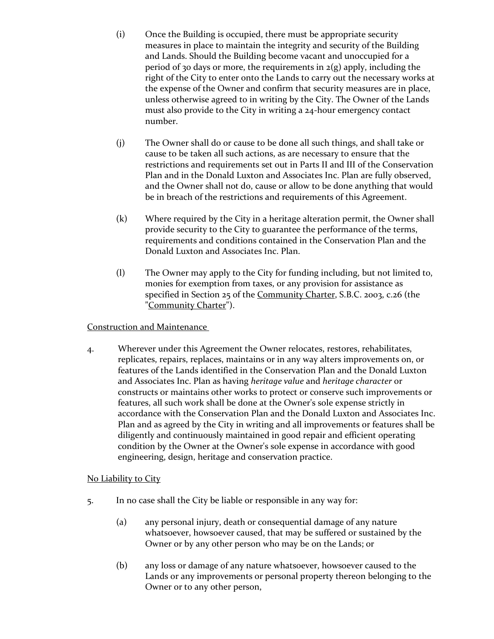- (i) Once the Building is occupied, there must be appropriate security measures in place to maintain the integrity and security of the Building and Lands. Should the Building become vacant and unoccupied for a period of 30 days or more, the requirements in  $2(g)$  apply, including the right of the City to enter onto the Lands to carry out the necessary works at the expense of the Owner and confirm that security measures are in place, unless otherwise agreed to in writing by the City. The Owner of the Lands must also provide to the City in writing a 24-hour emergency contact number.
- (j) The Owner shall do or cause to be done all such things, and shall take or cause to be taken all such actions, as are necessary to ensure that the restrictions and requirements set out in Parts II and III of the Conservation Plan and in the Donald Luxton and Associates Inc. Plan are fully observed, and the Owner shall not do, cause or allow to be done anything that would be in breach of the restrictions and requirements of this Agreement.
- (k) Where required by the City in a heritage alteration permit, the Owner shall provide security to the City to guarantee the performance of the terms, requirements and conditions contained in the Conservation Plan and the Donald Luxton and Associates Inc. Plan.
- (l) The Owner may apply to the City for funding including, but not limited to, monies for exemption from taxes, or any provision for assistance as specified in Section 25 of the Community Charter, S.B.C. 2003, c.26 (the "Community Charter").

### Construction and Maintenance

4. Wherever under this Agreement the Owner relocates, restores, rehabilitates, replicates, repairs, replaces, maintains or in any way alters improvements on, or features of the Lands identified in the Conservation Plan and the Donald Luxton and Associates Inc. Plan as having *heritage value* and *heritage character* or constructs or maintains other works to protect or conserve such improvements or features, all such work shall be done at the Owner's sole expense strictly in accordance with the Conservation Plan and the Donald Luxton and Associates Inc. Plan and as agreed by the City in writing and all improvements or features shall be diligently and continuously maintained in good repair and efficient operating condition by the Owner at the Owner's sole expense in accordance with good engineering, design, heritage and conservation practice.

# No Liability to City

- 5. In no case shall the City be liable or responsible in any way for:
	- (a) any personal injury, death or consequential damage of any nature whatsoever, howsoever caused, that may be suffered or sustained by the Owner or by any other person who may be on the Lands; or
	- (b) any loss or damage of any nature whatsoever, howsoever caused to the Lands or any improvements or personal property thereon belonging to the Owner or to any other person,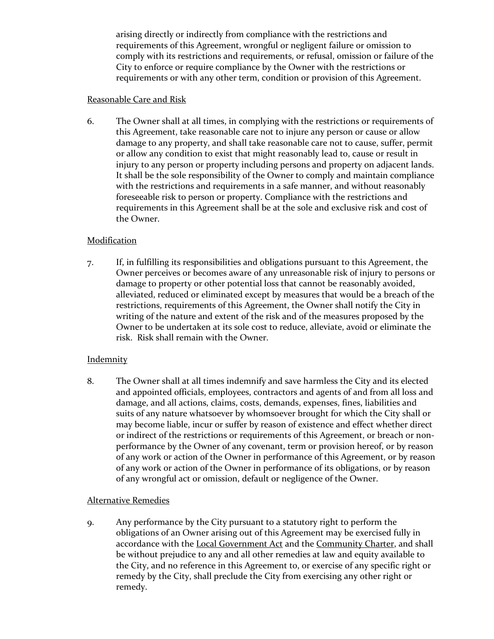arising directly or indirectly from compliance with the restrictions and requirements of this Agreement, wrongful or negligent failure or omission to comply with its restrictions and requirements, or refusal, omission or failure of the City to enforce or require compliance by the Owner with the restrictions or requirements or with any other term, condition or provision of this Agreement.

## Reasonable Care and Risk

6. The Owner shall at all times, in complying with the restrictions or requirements of this Agreement, take reasonable care not to injure any person or cause or allow damage to any property, and shall take reasonable care not to cause, suffer, permit or allow any condition to exist that might reasonably lead to, cause or result in injury to any person or property including persons and property on adjacent lands. It shall be the sole responsibility of the Owner to comply and maintain compliance with the restrictions and requirements in a safe manner, and without reasonably foreseeable risk to person or property. Compliance with the restrictions and requirements in this Agreement shall be at the sole and exclusive risk and cost of the Owner.

# Modification

7. If, in fulfilling its responsibilities and obligations pursuant to this Agreement, the Owner perceives or becomes aware of any unreasonable risk of injury to persons or damage to property or other potential loss that cannot be reasonably avoided, alleviated, reduced or eliminated except by measures that would be a breach of the restrictions, requirements of this Agreement, the Owner shall notify the City in writing of the nature and extent of the risk and of the measures proposed by the Owner to be undertaken at its sole cost to reduce, alleviate, avoid or eliminate the risk. Risk shall remain with the Owner.

# **Indemnity**

8. The Owner shall at all times indemnify and save harmless the City and its elected and appointed officials, employees, contractors and agents of and from all loss and damage, and all actions, claims, costs, demands, expenses, fines, liabilities and suits of any nature whatsoever by whomsoever brought for which the City shall or may become liable, incur or suffer by reason of existence and effect whether direct or indirect of the restrictions or requirements of this Agreement, or breach or nonperformance by the Owner of any covenant, term or provision hereof, or by reason of any work or action of the Owner in performance of this Agreement, or by reason of any work or action of the Owner in performance of its obligations, or by reason of any wrongful act or omission, default or negligence of the Owner.

# Alternative Remedies

9. Any performance by the City pursuant to a statutory right to perform the obligations of an Owner arising out of this Agreement may be exercised fully in accordance with the Local Government Act and the Community Charter, and shall be without prejudice to any and all other remedies at law and equity available to the City, and no reference in this Agreement to, or exercise of any specific right or remedy by the City, shall preclude the City from exercising any other right or remedy.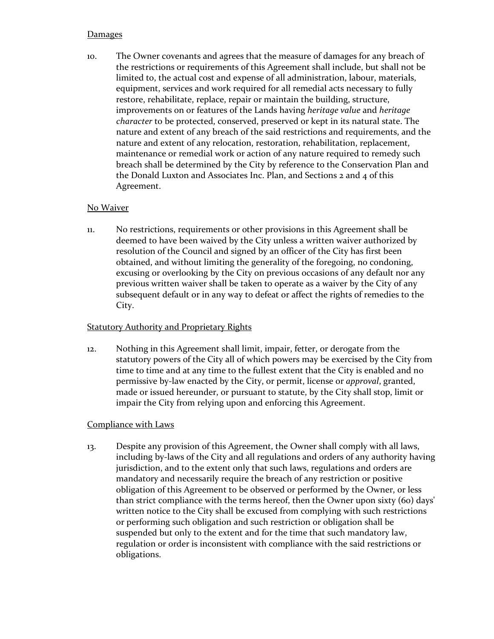## **Damages**

10. The Owner covenants and agrees that the measure of damages for any breach of the restrictions or requirements of this Agreement shall include, but shall not be limited to, the actual cost and expense of all administration, labour, materials, equipment, services and work required for all remedial acts necessary to fully restore, rehabilitate, replace, repair or maintain the building, structure, improvements on or features of the Lands having *heritage value* and *heritage character* to be protected, conserved, preserved or kept in its natural state. The nature and extent of any breach of the said restrictions and requirements, and the nature and extent of any relocation, restoration, rehabilitation, replacement, maintenance or remedial work or action of any nature required to remedy such breach shall be determined by the City by reference to the Conservation Plan and the Donald Luxton and Associates Inc. Plan, and Sections 2 and 4 of this Agreement.

# No Waiver

11. No restrictions, requirements or other provisions in this Agreement shall be deemed to have been waived by the City unless a written waiver authorized by resolution of the Council and signed by an officer of the City has first been obtained, and without limiting the generality of the foregoing, no condoning, excusing or overlooking by the City on previous occasions of any default nor any previous written waiver shall be taken to operate as a waiver by the City of any subsequent default or in any way to defeat or affect the rights of remedies to the City.

# Statutory Authority and Proprietary Rights

12. Nothing in this Agreement shall limit, impair, fetter, or derogate from the statutory powers of the City all of which powers may be exercised by the City from time to time and at any time to the fullest extent that the City is enabled and no permissive by-law enacted by the City, or permit, license or *approval*, granted, made or issued hereunder, or pursuant to statute, by the City shall stop, limit or impair the City from relying upon and enforcing this Agreement.

# Compliance with Laws

13. Despite any provision of this Agreement, the Owner shall comply with all laws, including by-laws of the City and all regulations and orders of any authority having jurisdiction, and to the extent only that such laws, regulations and orders are mandatory and necessarily require the breach of any restriction or positive obligation of this Agreement to be observed or performed by the Owner, or less than strict compliance with the terms hereof, then the Owner upon sixty (60) days' written notice to the City shall be excused from complying with such restrictions or performing such obligation and such restriction or obligation shall be suspended but only to the extent and for the time that such mandatory law, regulation or order is inconsistent with compliance with the said restrictions or obligations.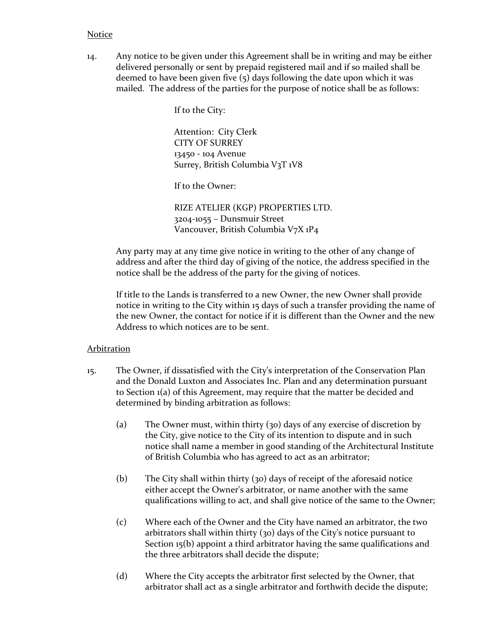### Notice

14. Any notice to be given under this Agreement shall be in writing and may be either delivered personally or sent by prepaid registered mail and if so mailed shall be deemed to have been given five (5) days following the date upon which it was mailed. The address of the parties for the purpose of notice shall be as follows:

If to the City:

Attention: City Clerk CITY OF SURREY 13450 - 104 Avenue Surrey, British Columbia V3T 1V8

If to the Owner:

RIZE ATELIER (KGP) PROPERTIES LTD. 3204-1055 – Dunsmuir Street Vancouver, British Columbia V7X 1P4

Any party may at any time give notice in writing to the other of any change of address and after the third day of giving of the notice, the address specified in the notice shall be the address of the party for the giving of notices.

If title to the Lands is transferred to a new Owner, the new Owner shall provide notice in writing to the City within 15 days of such a transfer providing the name of the new Owner, the contact for notice if it is different than the Owner and the new Address to which notices are to be sent.

#### Arbitration

- 15. The Owner, if dissatisfied with the City's interpretation of the Conservation Plan and the Donald Luxton and Associates Inc. Plan and any determination pursuant to Section 1(a) of this Agreement, may require that the matter be decided and determined by binding arbitration as follows:
	- (a) The Owner must, within thirty (30) days of any exercise of discretion by the City, give notice to the City of its intention to dispute and in such notice shall name a member in good standing of the Architectural Institute of British Columbia who has agreed to act as an arbitrator;
	- (b) The City shall within thirty (30) days of receipt of the aforesaid notice either accept the Owner's arbitrator, or name another with the same qualifications willing to act, and shall give notice of the same to the Owner;
	- (c) Where each of the Owner and the City have named an arbitrator, the two arbitrators shall within thirty (30) days of the City's notice pursuant to Section 15(b) appoint a third arbitrator having the same qualifications and the three arbitrators shall decide the dispute;
	- (d) Where the City accepts the arbitrator first selected by the Owner, that arbitrator shall act as a single arbitrator and forthwith decide the dispute;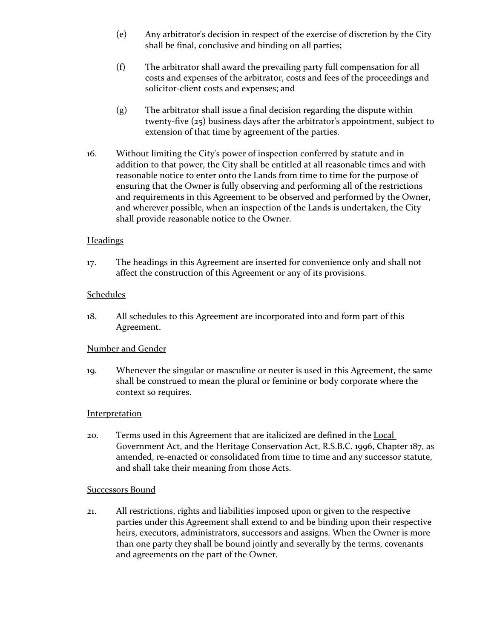- (e) Any arbitrator's decision in respect of the exercise of discretion by the City shall be final, conclusive and binding on all parties;
- (f) The arbitrator shall award the prevailing party full compensation for all costs and expenses of the arbitrator, costs and fees of the proceedings and solicitor-client costs and expenses; and
- (g) The arbitrator shall issue a final decision regarding the dispute within twenty-five (25) business days after the arbitrator's appointment, subject to extension of that time by agreement of the parties.
- 16. Without limiting the City's power of inspection conferred by statute and in addition to that power, the City shall be entitled at all reasonable times and with reasonable notice to enter onto the Lands from time to time for the purpose of ensuring that the Owner is fully observing and performing all of the restrictions and requirements in this Agreement to be observed and performed by the Owner, and wherever possible, when an inspection of the Lands is undertaken, the City shall provide reasonable notice to the Owner.

### **Headings**

17. The headings in this Agreement are inserted for convenience only and shall not affect the construction of this Agreement or any of its provisions.

### **Schedules**

18. All schedules to this Agreement are incorporated into and form part of this Agreement.

# Number and Gender

19. Whenever the singular or masculine or neuter is used in this Agreement, the same shall be construed to mean the plural or feminine or body corporate where the context so requires.

### Interpretation

20. Terms used in this Agreement that are italicized are defined in the Local Government Act, and the Heritage Conservation Act, R.S.B.C. 1996, Chapter 187, as amended, re-enacted or consolidated from time to time and any successor statute, and shall take their meaning from those Acts.

### Successors Bound

21. All restrictions, rights and liabilities imposed upon or given to the respective parties under this Agreement shall extend to and be binding upon their respective heirs, executors, administrators, successors and assigns. When the Owner is more than one party they shall be bound jointly and severally by the terms, covenants and agreements on the part of the Owner.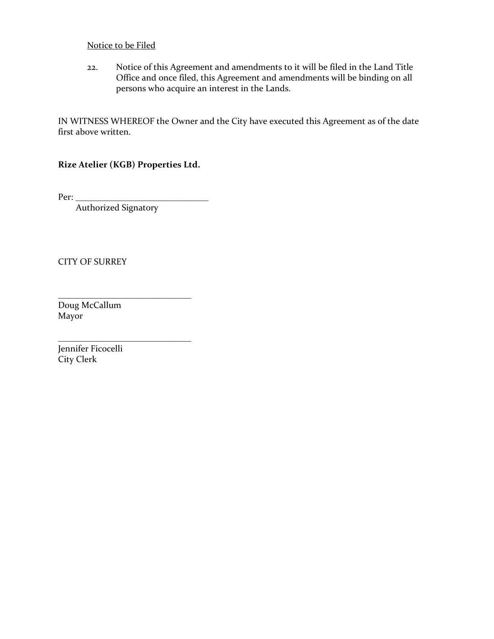## Notice to be Filed

22. Notice of this Agreement and amendments to it will be filed in the Land Title Office and once filed, this Agreement and amendments will be binding on all persons who acquire an interest in the Lands.

IN WITNESS WHEREOF the Owner and the City have executed this Agreement as of the date first above written.

**Rize Atelier (KGB) Properties Ltd.**

Per: \_\_\_\_\_\_\_\_\_\_\_\_\_\_\_\_\_\_\_\_\_\_\_\_\_\_\_\_\_\_

Authorized Signatory

\_\_\_\_\_\_\_\_\_\_\_\_\_\_\_\_\_\_\_\_\_\_\_\_\_\_\_\_\_\_

\_\_\_\_\_\_\_\_\_\_\_\_\_\_\_\_\_\_\_\_\_\_\_\_\_\_\_\_\_\_

CITY OF SURREY

Doug McCallum Mayor

Jennifer Ficocelli City Clerk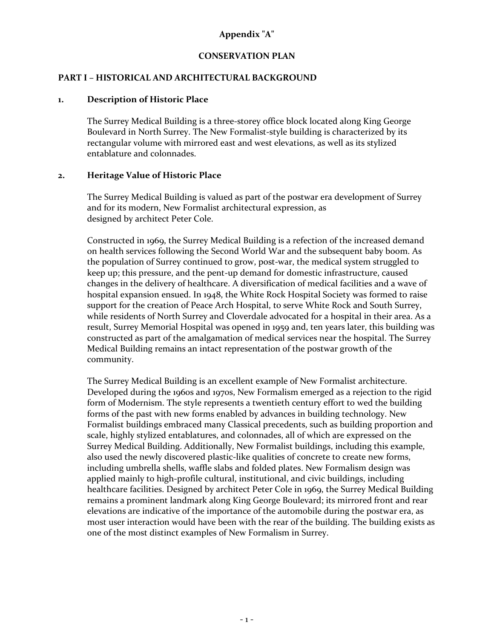# **Appendix "A"**

### **CONSERVATION PLAN**

### **PART I – HISTORICAL AND ARCHITECTURAL BACKGROUND**

#### **1. Description of Historic Place**

The Surrey Medical Building is a three-storey office block located along King George Boulevard in North Surrey. The New Formalist-style building is characterized by its rectangular volume with mirrored east and west elevations, as well as its stylized entablature and colonnades.

#### **2. Heritage Value of Historic Place**

The Surrey Medical Building is valued as part of the postwar era development of Surrey and for its modern, New Formalist architectural expression, as designed by architect Peter Cole.

Constructed in 1969, the Surrey Medical Building is a refection of the increased demand on health services following the Second World War and the subsequent baby boom. As the population of Surrey continued to grow, post-war, the medical system struggled to keep up; this pressure, and the pent-up demand for domestic infrastructure, caused changes in the delivery of healthcare. A diversification of medical facilities and a wave of hospital expansion ensued. In 1948, the White Rock Hospital Society was formed to raise support for the creation of Peace Arch Hospital, to serve White Rock and South Surrey, while residents of North Surrey and Cloverdale advocated for a hospital in their area. As a result, Surrey Memorial Hospital was opened in 1959 and, ten years later, this building was constructed as part of the amalgamation of medical services near the hospital. The Surrey Medical Building remains an intact representation of the postwar growth of the community.

The Surrey Medical Building is an excellent example of New Formalist architecture. Developed during the 1960s and 1970s, New Formalism emerged as a rejection to the rigid form of Modernism. The style represents a twentieth century effort to wed the building forms of the past with new forms enabled by advances in building technology. New Formalist buildings embraced many Classical precedents, such as building proportion and scale, highly stylized entablatures, and colonnades, all of which are expressed on the Surrey Medical Building. Additionally, New Formalist buildings, including this example, also used the newly discovered plastic-like qualities of concrete to create new forms, including umbrella shells, waffle slabs and folded plates. New Formalism design was applied mainly to high-profile cultural, institutional, and civic buildings, including healthcare facilities. Designed by architect Peter Cole in 1969, the Surrey Medical Building remains a prominent landmark along King George Boulevard; its mirrored front and rear elevations are indicative of the importance of the automobile during the postwar era, as most user interaction would have been with the rear of the building. The building exists as one of the most distinct examples of New Formalism in Surrey.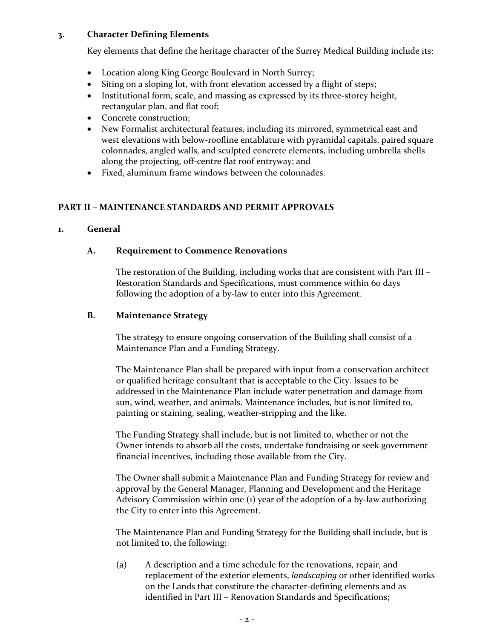### **3. Character Defining Elements**

Key elements that define the heritage character of the Surrey Medical Building include its:

- Location along King George Boulevard in North Surrey;
- Siting on a sloping lot, with front elevation accessed by a flight of steps;
- Institutional form, scale, and massing as expressed by its three-storey height, rectangular plan, and flat roof;
- Concrete construction:
- New Formalist architectural features, including its mirrored, symmetrical east and west elevations with below-roofline entablature with pyramidal capitals, paired square colonnades, angled walls, and sculpted concrete elements, including umbrella shells along the projecting, off-centre flat roof entryway; and
- Fixed, aluminum frame windows between the colonnades.

### **PART II – MAINTENANCE STANDARDS AND PERMIT APPROVALS**

### **1. General**

### **A. Requirement to Commence Renovations**

The restoration of the Building, including works that are consistent with Part III – Restoration Standards and Specifications, must commence within 60 days following the adoption of a by-law to enter into this Agreement.

### **B. Maintenance Strategy**

The strategy to ensure ongoing conservation of the Building shall consist of a Maintenance Plan and a Funding Strategy.

The Maintenance Plan shall be prepared with input from a conservation architect or qualified heritage consultant that is acceptable to the City. Issues to be addressed in the Maintenance Plan include water penetration and damage from sun, wind, weather, and animals. Maintenance includes, but is not limited to, painting or staining, sealing, weather-stripping and the like.

The Funding Strategy shall include, but is not limited to, whether or not the Owner intends to absorb all the costs, undertake fundraising or seek government financial incentives, including those available from the City.

The Owner shall submit a Maintenance Plan and Funding Strategy for review and approval by the General Manager, Planning and Development and the Heritage Advisory Commission within one (1) year of the adoption of a by-law authorizing the City to enter into this Agreement.

The Maintenance Plan and Funding Strategy for the Building shall include, but is not limited to, the following:

(a) A description and a time schedule for the renovations, repair, and replacement of the exterior elements, *landscaping* or other identified works on the Lands that constitute the character-defining elements and as identified in Part III – Renovation Standards and Specifications;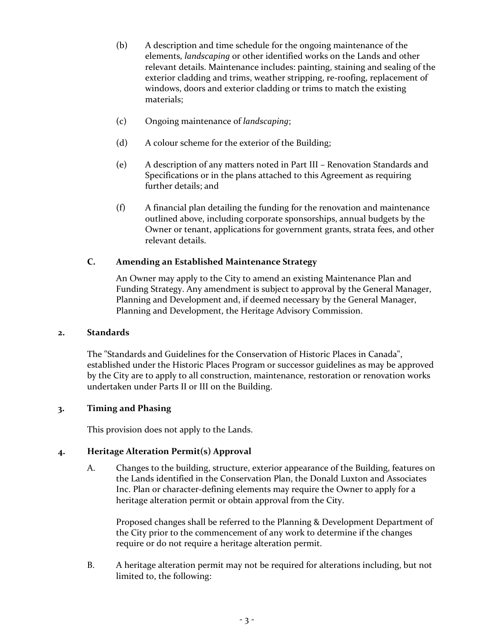- (b) A description and time schedule for the ongoing maintenance of the elements, *landscaping* or other identified works on the Lands and other relevant details. Maintenance includes: painting, staining and sealing of the exterior cladding and trims, weather stripping, re-roofing, replacement of windows, doors and exterior cladding or trims to match the existing materials;
- (c) Ongoing maintenance of *landscaping*;
- (d) A colour scheme for the exterior of the Building;
- (e) A description of any matters noted in Part III Renovation Standards and Specifications or in the plans attached to this Agreement as requiring further details; and
- (f) A financial plan detailing the funding for the renovation and maintenance outlined above, including corporate sponsorships, annual budgets by the Owner or tenant, applications for government grants, strata fees, and other relevant details.

# **C. Amending an Established Maintenance Strategy**

An Owner may apply to the City to amend an existing Maintenance Plan and Funding Strategy. Any amendment is subject to approval by the General Manager, Planning and Development and, if deemed necessary by the General Manager, Planning and Development, the Heritage Advisory Commission.

### **2. Standards**

The "Standards and Guidelines for the Conservation of Historic Places in Canada", established under the Historic Places Program or successor guidelines as may be approved by the City are to apply to all construction, maintenance, restoration or renovation works undertaken under Parts II or III on the Building.

## **3. Timing and Phasing**

This provision does not apply to the Lands.

### **4. Heritage Alteration Permit(s) Approval**

A. Changes to the building, structure, exterior appearance of the Building, features on the Lands identified in the Conservation Plan, the Donald Luxton and Associates Inc. Plan or character-defining elements may require the Owner to apply for a heritage alteration permit or obtain approval from the City.

Proposed changes shall be referred to the Planning & Development Department of the City prior to the commencement of any work to determine if the changes require or do not require a heritage alteration permit.

B. A heritage alteration permit may not be required for alterations including, but not limited to, the following: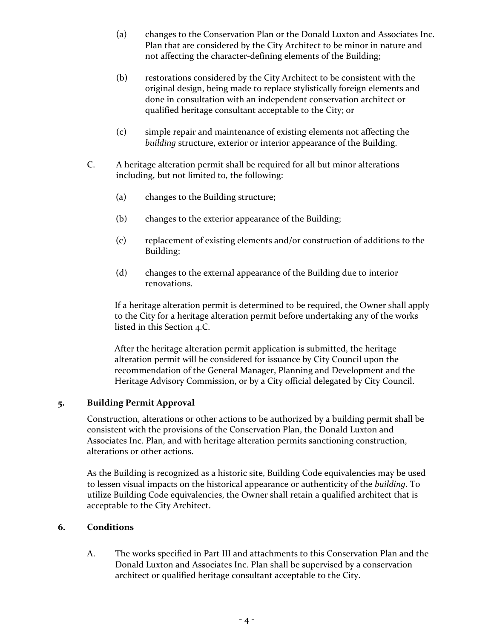- (a) changes to the Conservation Plan or the Donald Luxton and Associates Inc. Plan that are considered by the City Architect to be minor in nature and not affecting the character-defining elements of the Building;
- (b) restorations considered by the City Architect to be consistent with the original design, being made to replace stylistically foreign elements and done in consultation with an independent conservation architect or qualified heritage consultant acceptable to the City; or
- (c) simple repair and maintenance of existing elements not affecting the *building* structure, exterior or interior appearance of the Building.
- C. A heritage alteration permit shall be required for all but minor alterations including, but not limited to, the following:
	- (a) changes to the Building structure;
	- (b) changes to the exterior appearance of the Building;
	- (c) replacement of existing elements and/or construction of additions to the Building;
	- (d) changes to the external appearance of the Building due to interior renovations.

If a heritage alteration permit is determined to be required, the Owner shall apply to the City for a heritage alteration permit before undertaking any of the works listed in this Section 4.C.

After the heritage alteration permit application is submitted, the heritage alteration permit will be considered for issuance by City Council upon the recommendation of the General Manager, Planning and Development and the Heritage Advisory Commission, or by a City official delegated by City Council.

### **5. Building Permit Approval**

Construction, alterations or other actions to be authorized by a building permit shall be consistent with the provisions of the Conservation Plan, the Donald Luxton and Associates Inc. Plan, and with heritage alteration permits sanctioning construction, alterations or other actions.

As the Building is recognized as a historic site, Building Code equivalencies may be used to lessen visual impacts on the historical appearance or authenticity of the *building*. To utilize Building Code equivalencies, the Owner shall retain a qualified architect that is acceptable to the City Architect.

### **6. Conditions**

A. The works specified in Part III and attachments to this Conservation Plan and the Donald Luxton and Associates Inc. Plan shall be supervised by a conservation architect or qualified heritage consultant acceptable to the City.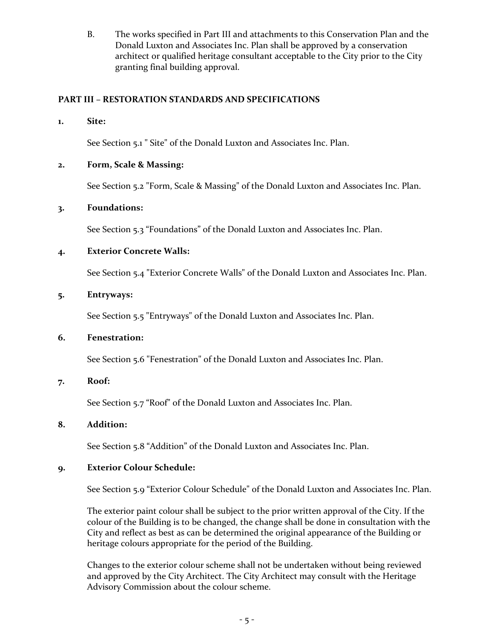B. The works specified in Part III and attachments to this Conservation Plan and the Donald Luxton and Associates Inc. Plan shall be approved by a conservation architect or qualified heritage consultant acceptable to the City prior to the City granting final building approval.

## **PART III – RESTORATION STANDARDS AND SPECIFICATIONS**

**1. Site:**

See Section 5.1 " Site" of the Donald Luxton and Associates Inc. Plan.

### **2. Form, Scale & Massing:**

See Section 5.2 "Form, Scale & Massing" of the Donald Luxton and Associates Inc. Plan.

### **3. Foundations:**

See Section 5.3 "Foundations" of the Donald Luxton and Associates Inc. Plan.

### **4. Exterior Concrete Walls:**

See Section 5.4 "Exterior Concrete Walls" of the Donald Luxton and Associates Inc. Plan.

### **5. Entryways:**

See Section 5.5 "Entryways" of the Donald Luxton and Associates Inc. Plan.

### **6. Fenestration:**

See Section 5.6 "Fenestration" of the Donald Luxton and Associates Inc. Plan.

### **7. Roof:**

See Section 5.7 "Roof" of the Donald Luxton and Associates Inc. Plan.

### **8. Addition:**

See Section 5.8 "Addition" of the Donald Luxton and Associates Inc. Plan.

# **9. Exterior Colour Schedule:**

See Section 5.9 "Exterior Colour Schedule" of the Donald Luxton and Associates Inc. Plan.

The exterior paint colour shall be subject to the prior written approval of the City. If the colour of the Building is to be changed, the change shall be done in consultation with the City and reflect as best as can be determined the original appearance of the Building or heritage colours appropriate for the period of the Building.

Changes to the exterior colour scheme shall not be undertaken without being reviewed and approved by the City Architect. The City Architect may consult with the Heritage Advisory Commission about the colour scheme.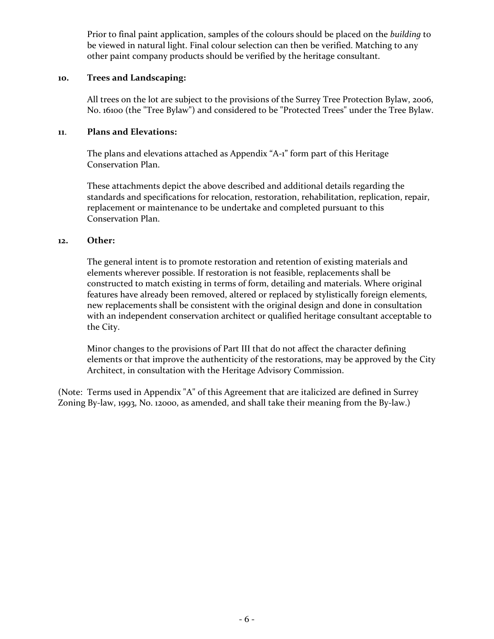Prior to final paint application, samples of the colours should be placed on the *building* to be viewed in natural light. Final colour selection can then be verified. Matching to any other paint company products should be verified by the heritage consultant.

### **10. Trees and Landscaping:**

All trees on the lot are subject to the provisions of the Surrey Tree Protection Bylaw, 2006, No. 16100 (the "Tree Bylaw") and considered to be "Protected Trees" under the Tree Bylaw.

# **11**. **Plans and Elevations:**

The plans and elevations attached as Appendix "A-1" form part of this Heritage Conservation Plan.

These attachments depict the above described and additional details regarding the standards and specifications for relocation, restoration, rehabilitation, replication, repair, replacement or maintenance to be undertake and completed pursuant to this Conservation Plan.

### **12. Other:**

The general intent is to promote restoration and retention of existing materials and elements wherever possible. If restoration is not feasible, replacements shall be constructed to match existing in terms of form, detailing and materials. Where original features have already been removed, altered or replaced by stylistically foreign elements, new replacements shall be consistent with the original design and done in consultation with an independent conservation architect or qualified heritage consultant acceptable to the City.

Minor changes to the provisions of Part III that do not affect the character defining elements or that improve the authenticity of the restorations, may be approved by the City Architect, in consultation with the Heritage Advisory Commission.

(Note: Terms used in Appendix "A" of this Agreement that are italicized are defined in Surrey Zoning By-law, 1993, No. 12000, as amended, and shall take their meaning from the By-law.)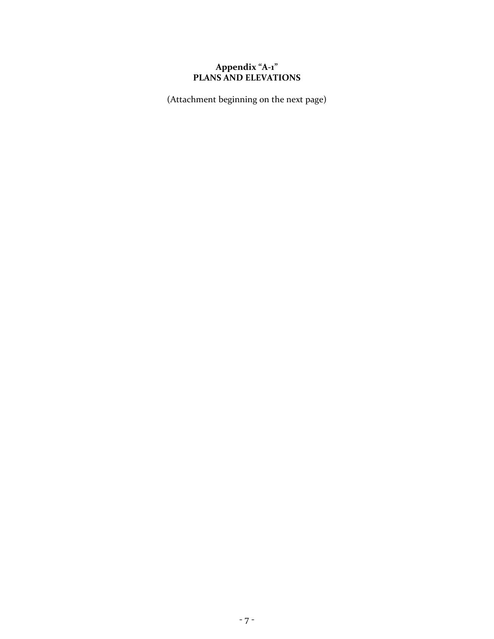## **Appendix "A-1" PLANS AND ELEVATIONS**

(Attachment beginning on the next page)